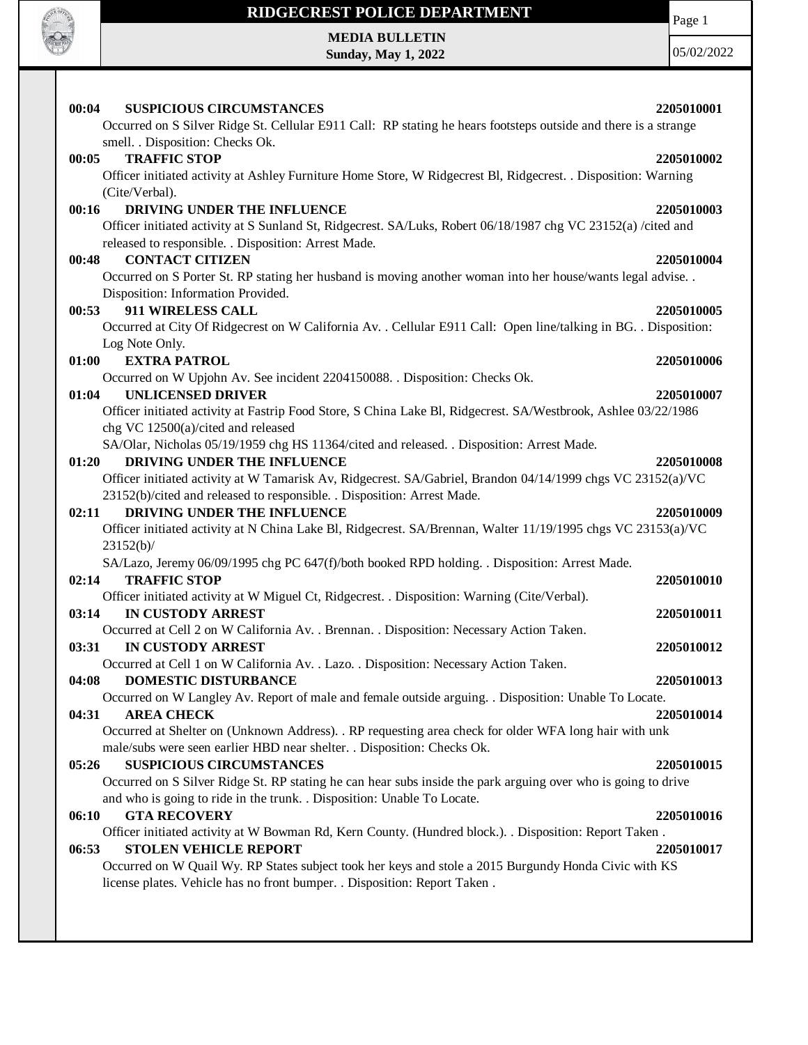

**MEDIA BULLETIN Sunday, May 1, 2022**

Page 1

05/02/2022

| 00:04<br><b>SUSPICIOUS CIRCUMSTANCES</b>                                                                                                                                           | 2205010001 |
|------------------------------------------------------------------------------------------------------------------------------------------------------------------------------------|------------|
| Occurred on S Silver Ridge St. Cellular E911 Call: RP stating he hears footsteps outside and there is a strange                                                                    |            |
| smell. . Disposition: Checks Ok.                                                                                                                                                   |            |
| <b>TRAFFIC STOP</b><br>00:05                                                                                                                                                       | 2205010002 |
| Officer initiated activity at Ashley Furniture Home Store, W Ridgecrest Bl, Ridgecrest. . Disposition: Warning                                                                     |            |
| (Cite/Verbal).                                                                                                                                                                     |            |
| DRIVING UNDER THE INFLUENCE<br>00:16                                                                                                                                               | 2205010003 |
| Officer initiated activity at S Sunland St, Ridgecrest. SA/Luks, Robert 06/18/1987 chg VC 23152(a) /cited and                                                                      |            |
| released to responsible. . Disposition: Arrest Made.                                                                                                                               |            |
| <b>CONTACT CITIZEN</b><br>00:48                                                                                                                                                    | 2205010004 |
| Occurred on S Porter St. RP stating her husband is moving another woman into her house/wants legal advise. .                                                                       |            |
| Disposition: Information Provided.<br>911 WIRELESS CALL<br>00:53                                                                                                                   | 2205010005 |
| Occurred at City Of Ridgecrest on W California Av. . Cellular E911 Call: Open line/talking in BG. . Disposition:                                                                   |            |
| Log Note Only.                                                                                                                                                                     |            |
| <b>EXTRA PATROL</b><br>01:00                                                                                                                                                       | 2205010006 |
| Occurred on W Upjohn Av. See incident 2204150088. . Disposition: Checks Ok.                                                                                                        |            |
| <b>UNLICENSED DRIVER</b><br>01:04                                                                                                                                                  | 2205010007 |
| Officer initiated activity at Fastrip Food Store, S China Lake Bl, Ridgecrest. SA/Westbrook, Ashlee 03/22/1986                                                                     |            |
| chg VC 12500(a)/cited and released                                                                                                                                                 |            |
| SA/Olar, Nicholas 05/19/1959 chg HS 11364/cited and released. . Disposition: Arrest Made.                                                                                          |            |
| DRIVING UNDER THE INFLUENCE<br>01:20                                                                                                                                               | 2205010008 |
| Officer initiated activity at W Tamarisk Av, Ridgecrest. SA/Gabriel, Brandon 04/14/1999 chgs VC 23152(a)/VC                                                                        |            |
| 23152(b)/cited and released to responsible. . Disposition: Arrest Made.                                                                                                            |            |
| DRIVING UNDER THE INFLUENCE<br>02:11                                                                                                                                               | 2205010009 |
| Officer initiated activity at N China Lake Bl, Ridgecrest. SA/Brennan, Walter 11/19/1995 chgs VC 23153(a)/VC                                                                       |            |
| 23152(b)/                                                                                                                                                                          |            |
| SA/Lazo, Jeremy 06/09/1995 chg PC 647(f)/both booked RPD holding. . Disposition: Arrest Made.                                                                                      |            |
| <b>TRAFFIC STOP</b><br>02:14                                                                                                                                                       | 2205010010 |
| Officer initiated activity at W Miguel Ct, Ridgecrest. . Disposition: Warning (Cite/Verbal).                                                                                       |            |
| <b>IN CUSTODY ARREST</b><br>03:14                                                                                                                                                  | 2205010011 |
| Occurred at Cell 2 on W California Av. . Brennan. . Disposition: Necessary Action Taken.                                                                                           |            |
| <b>IN CUSTODY ARREST</b><br>03:31                                                                                                                                                  | 2205010012 |
| Occurred at Cell 1 on W California Av. . Lazo. . Disposition: Necessary Action Taken.                                                                                              |            |
| 04:08<br>DOMESTIC DISTURBANCE                                                                                                                                                      | 2205010013 |
| Occurred on W Langley Av. Report of male and female outside arguing. . Disposition: Unable To Locate.                                                                              |            |
| <b>AREA CHECK</b><br>04:31                                                                                                                                                         | 2205010014 |
| Occurred at Shelter on (Unknown Address). . RP requesting area check for older WFA long hair with unk                                                                              |            |
| male/subs were seen earlier HBD near shelter. . Disposition: Checks Ok.                                                                                                            |            |
| 05:26<br><b>SUSPICIOUS CIRCUMSTANCES</b>                                                                                                                                           | 2205010015 |
| Occurred on S Silver Ridge St. RP stating he can hear subs inside the park arguing over who is going to drive                                                                      |            |
| and who is going to ride in the trunk. . Disposition: Unable To Locate.                                                                                                            |            |
| <b>GTA RECOVERY</b><br>06:10                                                                                                                                                       | 2205010016 |
| Officer initiated activity at W Bowman Rd, Kern County. (Hundred block.). . Disposition: Report Taken.                                                                             |            |
| <b>STOLEN VEHICLE REPORT</b><br>06:53                                                                                                                                              | 2205010017 |
| Occurred on W Quail Wy. RP States subject took her keys and stole a 2015 Burgundy Honda Civic with KS<br>license plates. Vehicle has no front bumper. . Disposition: Report Taken. |            |
|                                                                                                                                                                                    |            |
|                                                                                                                                                                                    |            |
|                                                                                                                                                                                    |            |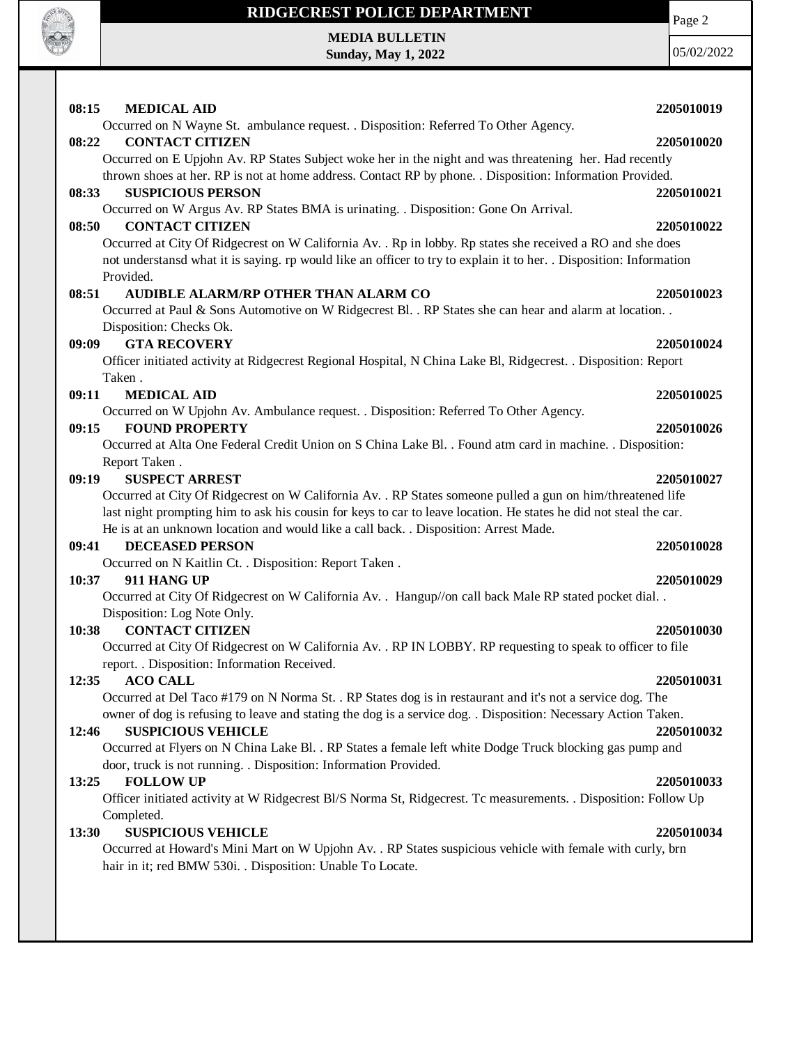

**MEDIA BULLETIN Sunday, May 1, 2022**

Page 2 05/02/2022

| 08:15 | <b>MEDICAL AID</b>                                                                                                                                                      | 2205010019 |
|-------|-------------------------------------------------------------------------------------------------------------------------------------------------------------------------|------------|
|       | Occurred on N Wayne St. ambulance request. . Disposition: Referred To Other Agency.                                                                                     |            |
| 08:22 | <b>CONTACT CITIZEN</b>                                                                                                                                                  | 2205010020 |
|       | Occurred on E Upjohn Av. RP States Subject woke her in the night and was threatening her. Had recently                                                                  |            |
|       | thrown shoes at her. RP is not at home address. Contact RP by phone. . Disposition: Information Provided.                                                               |            |
| 08:33 | <b>SUSPICIOUS PERSON</b>                                                                                                                                                | 2205010021 |
|       | Occurred on W Argus Av. RP States BMA is urinating. . Disposition: Gone On Arrival.                                                                                     |            |
| 08:50 | <b>CONTACT CITIZEN</b><br>Occurred at City Of Ridgecrest on W California Av. . Rp in lobby. Rp states she received a RO and she does                                    | 2205010022 |
|       | not understansd what it is saying. rp would like an officer to try to explain it to her. . Disposition: Information                                                     |            |
|       | Provided.                                                                                                                                                               |            |
| 08:51 | AUDIBLE ALARM/RP OTHER THAN ALARM CO                                                                                                                                    | 2205010023 |
|       | Occurred at Paul & Sons Automotive on W Ridgecrest Bl. . RP States she can hear and alarm at location. .                                                                |            |
|       | Disposition: Checks Ok.                                                                                                                                                 |            |
| 09:09 | <b>GTA RECOVERY</b>                                                                                                                                                     | 2205010024 |
|       | Officer initiated activity at Ridgecrest Regional Hospital, N China Lake Bl, Ridgecrest. . Disposition: Report                                                          |            |
|       | Taken.                                                                                                                                                                  |            |
| 09:11 | <b>MEDICAL AID</b>                                                                                                                                                      | 2205010025 |
|       | Occurred on W Upjohn Av. Ambulance request. . Disposition: Referred To Other Agency.                                                                                    |            |
| 09:15 | <b>FOUND PROPERTY</b>                                                                                                                                                   | 2205010026 |
|       | Occurred at Alta One Federal Credit Union on S China Lake Bl. . Found atm card in machine. . Disposition:                                                               |            |
|       | Report Taken.                                                                                                                                                           |            |
| 09:19 | <b>SUSPECT ARREST</b>                                                                                                                                                   | 2205010027 |
|       | Occurred at City Of Ridgecrest on W California Av. . RP States someone pulled a gun on him/threatened life                                                              |            |
|       | last night prompting him to ask his cousin for keys to car to leave location. He states he did not steal the car.                                                       |            |
|       | He is at an unknown location and would like a call back. . Disposition: Arrest Made.                                                                                    |            |
| 09:41 | <b>DECEASED PERSON</b><br>Occurred on N Kaitlin Ct. . Disposition: Report Taken .                                                                                       | 2205010028 |
| 10:37 | 911 HANG UP                                                                                                                                                             | 2205010029 |
|       | Occurred at City Of Ridgecrest on W California Av. . Hangup//on call back Male RP stated pocket dial                                                                    |            |
|       | Disposition: Log Note Only.                                                                                                                                             |            |
| 10:38 | <b>CONTACT CITIZEN</b>                                                                                                                                                  | 2205010030 |
|       | Occurred at City Of Ridgecrest on W California Av. . RP IN LOBBY. RP requesting to speak to officer to file                                                             |            |
|       | report. . Disposition: Information Received.                                                                                                                            |            |
| 12:35 | <b>ACO CALL</b>                                                                                                                                                         | 2205010031 |
|       | Occurred at Del Taco #179 on N Norma St. . RP States dog is in restaurant and it's not a service dog. The                                                               |            |
|       | owner of dog is refusing to leave and stating the dog is a service dog. . Disposition: Necessary Action Taken.                                                          |            |
| 12:46 | <b>SUSPICIOUS VEHICLE</b>                                                                                                                                               | 2205010032 |
|       | Occurred at Flyers on N China Lake Bl. . RP States a female left white Dodge Truck blocking gas pump and                                                                |            |
|       | door, truck is not running. . Disposition: Information Provided.                                                                                                        |            |
| 13:25 | <b>FOLLOW UP</b>                                                                                                                                                        | 2205010033 |
|       | Officer initiated activity at W Ridgecrest Bl/S Norma St, Ridgecrest. Tc measurements. . Disposition: Follow Up                                                         |            |
|       | Completed.                                                                                                                                                              |            |
| 13:30 | <b>SUSPICIOUS VEHICLE</b>                                                                                                                                               | 2205010034 |
|       | Occurred at Howard's Mini Mart on W Upjohn Av. . RP States suspicious vehicle with female with curly, brn<br>hair in it; red BMW 530i. . Disposition: Unable To Locate. |            |
|       |                                                                                                                                                                         |            |
|       |                                                                                                                                                                         |            |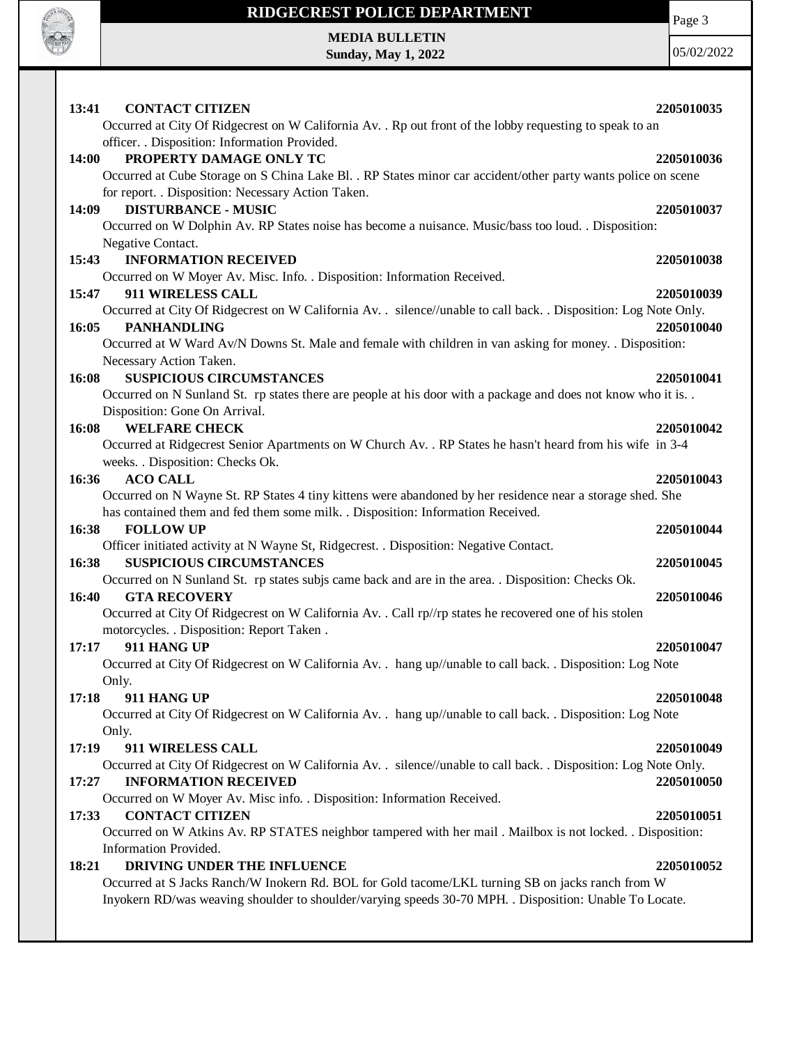

Page 3

**MEDIA BULLETIN Sunday, May 1, 2022**

| 05/02/2022 |
|------------|
|------------|

| <b>CONTACT CITIZEN</b><br>13:41                                                                                                                 | 2205010035 |
|-------------------------------------------------------------------------------------------------------------------------------------------------|------------|
| Occurred at City Of Ridgecrest on W California Av. . Rp out front of the lobby requesting to speak to an                                        |            |
| officer. . Disposition: Information Provided.                                                                                                   |            |
| PROPERTY DAMAGE ONLY TC<br>14:00                                                                                                                | 2205010036 |
| Occurred at Cube Storage on S China Lake Bl. . RP States minor car accident/other party wants police on scene                                   |            |
| for report. . Disposition: Necessary Action Taken.                                                                                              |            |
| <b>DISTURBANCE - MUSIC</b><br>14:09                                                                                                             | 2205010037 |
| Occurred on W Dolphin Av. RP States noise has become a nuisance. Music/bass too loud. . Disposition:                                            |            |
| Negative Contact.                                                                                                                               |            |
| 15:43<br><b>INFORMATION RECEIVED</b>                                                                                                            | 2205010038 |
| Occurred on W Moyer Av. Misc. Info. . Disposition: Information Received.                                                                        |            |
| 911 WIRELESS CALL<br>15:47                                                                                                                      | 2205010039 |
| Occurred at City Of Ridgecrest on W California Av. . silence//unable to call back. . Disposition: Log Note Only.<br>16:05<br><b>PANHANDLING</b> | 2205010040 |
| Occurred at W Ward Av/N Downs St. Male and female with children in van asking for money. . Disposition:                                         |            |
| Necessary Action Taken.                                                                                                                         |            |
| <b>SUSPICIOUS CIRCUMSTANCES</b><br>16:08                                                                                                        | 2205010041 |
| Occurred on N Sunland St. rp states there are people at his door with a package and does not know who it is                                     |            |
| Disposition: Gone On Arrival.                                                                                                                   |            |
| <b>WELFARE CHECK</b><br>16:08                                                                                                                   | 2205010042 |
| Occurred at Ridgecrest Senior Apartments on W Church Av. . RP States he hasn't heard from his wife in 3-4                                       |            |
| weeks. . Disposition: Checks Ok.                                                                                                                |            |
| 16:36<br><b>ACO CALL</b>                                                                                                                        | 2205010043 |
| Occurred on N Wayne St. RP States 4 tiny kittens were abandoned by her residence near a storage shed. She                                       |            |
| has contained them and fed them some milk. . Disposition: Information Received.                                                                 |            |
| <b>FOLLOW UP</b><br>16:38                                                                                                                       | 2205010044 |
| Officer initiated activity at N Wayne St, Ridgecrest. . Disposition: Negative Contact.                                                          |            |
| <b>SUSPICIOUS CIRCUMSTANCES</b><br>16:38                                                                                                        | 2205010045 |
| Occurred on N Sunland St. rp states subjs came back and are in the area. . Disposition: Checks Ok.                                              |            |
| <b>GTA RECOVERY</b><br>16:40                                                                                                                    | 2205010046 |
| Occurred at City Of Ridgecrest on W California Av. . Call rp//rp states he recovered one of his stolen                                          |            |
| motorcycles. . Disposition: Report Taken.<br>911 HANG UP<br>17:17                                                                               | 2205010047 |
| Occurred at City Of Ridgecrest on W California Av. . hang up//unable to call back. . Disposition: Log Note                                      |            |
| Only.                                                                                                                                           |            |
| 911 HANG UP<br>17:18                                                                                                                            | 2205010048 |
| Occurred at City Of Ridgecrest on W California Av. . hang up//unable to call back. . Disposition: Log Note                                      |            |
| Only.                                                                                                                                           |            |
| 17:19<br>911 WIRELESS CALL                                                                                                                      | 2205010049 |
| Occurred at City Of Ridgecrest on W California Av. . silence//unable to call back. . Disposition: Log Note Only.                                |            |
| <b>INFORMATION RECEIVED</b><br>17:27                                                                                                            | 2205010050 |
| Occurred on W Moyer Av. Misc info. . Disposition: Information Received.                                                                         |            |
| <b>CONTACT CITIZEN</b><br>17:33                                                                                                                 | 2205010051 |
| Occurred on W Atkins Av. RP STATES neighbor tampered with her mail . Mailbox is not locked. . Disposition:                                      |            |
| Information Provided.                                                                                                                           |            |
| DRIVING UNDER THE INFLUENCE<br>18:21                                                                                                            | 2205010052 |
| Occurred at S Jacks Ranch/W Inokern Rd. BOL for Gold tacome/LKL turning SB on jacks ranch from W                                                |            |
| Inyokern RD/was weaving shoulder to shoulder/varying speeds 30-70 MPH. . Disposition: Unable To Locate.                                         |            |
|                                                                                                                                                 |            |
|                                                                                                                                                 |            |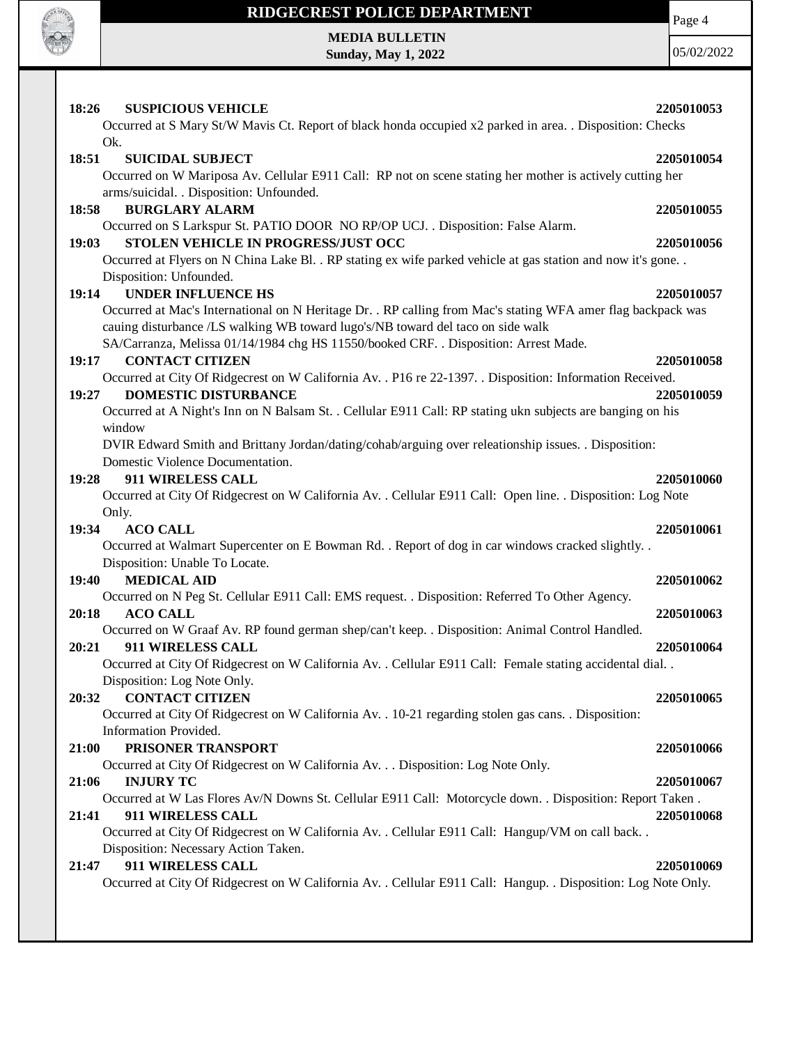

# **RIDGECREST POLICE DEPARTMENT MEDIA BULLETIN**

**Sunday, May 1, 2022**

Page 4

05/02/2022

| 18:26<br><b>SUSPICIOUS VEHICLE</b>                                                                                 | 2205010053 |
|--------------------------------------------------------------------------------------------------------------------|------------|
| Occurred at S Mary St/W Mavis Ct. Report of black honda occupied x2 parked in area. . Disposition: Checks<br>Ok.   |            |
| 18:51<br><b>SUICIDAL SUBJECT</b>                                                                                   | 2205010054 |
| Occurred on W Mariposa Av. Cellular E911 Call: RP not on scene stating her mother is actively cutting her          |            |
| arms/suicidal. . Disposition: Unfounded.                                                                           |            |
| 18:58<br><b>BURGLARY ALARM</b>                                                                                     | 2205010055 |
| Occurred on S Larkspur St. PATIO DOOR NO RP/OP UCJ. . Disposition: False Alarm.                                    |            |
| STOLEN VEHICLE IN PROGRESS/JUST OCC<br>19:03                                                                       | 2205010056 |
| Occurred at Flyers on N China Lake Bl. . RP stating ex wife parked vehicle at gas station and now it's gone. .     |            |
| Disposition: Unfounded.                                                                                            |            |
| <b>UNDER INFLUENCE HS</b><br>19:14                                                                                 | 2205010057 |
| Occurred at Mac's International on N Heritage Dr. . RP calling from Mac's stating WFA amer flag backpack was       |            |
| cauing disturbance /LS walking WB toward lugo's/NB toward del taco on side walk                                    |            |
| SA/Carranza, Melissa 01/14/1984 chg HS 11550/booked CRF. . Disposition: Arrest Made.                               |            |
| <b>CONTACT CITIZEN</b><br>19:17                                                                                    | 2205010058 |
| Occurred at City Of Ridgecrest on W California Av. . P16 re 22-1397. . Disposition: Information Received.          |            |
| <b>DOMESTIC DISTURBANCE</b><br>19:27                                                                               | 2205010059 |
| Occurred at A Night's Inn on N Balsam St. . Cellular E911 Call: RP stating ukn subjects are banging on his         |            |
| window                                                                                                             |            |
| DVIR Edward Smith and Brittany Jordan/dating/cohab/arguing over releationship issues. . Disposition:               |            |
| Domestic Violence Documentation.                                                                                   |            |
| 911 WIRELESS CALL<br>19:28                                                                                         | 2205010060 |
| Occurred at City Of Ridgecrest on W California Av. . Cellular E911 Call: Open line. . Disposition: Log Note        |            |
| Only.                                                                                                              |            |
| <b>ACO CALL</b><br>19:34                                                                                           | 2205010061 |
| Occurred at Walmart Supercenter on E Bowman Rd. . Report of dog in car windows cracked slightly. .                 |            |
| Disposition: Unable To Locate.                                                                                     |            |
| <b>MEDICAL AID</b><br>19:40                                                                                        | 2205010062 |
| Occurred on N Peg St. Cellular E911 Call: EMS request. . Disposition: Referred To Other Agency.<br>20:18           |            |
| <b>ACO CALL</b><br>Occurred on W Graaf Av. RP found german shep/can't keep. . Disposition: Animal Control Handled. | 2205010063 |
| 911 WIRELESS CALL<br>20:21                                                                                         | 2205010064 |
| Occurred at City Of Ridgecrest on W California Av. . Cellular E911 Call: Female stating accidental dial            |            |
| Disposition: Log Note Only.                                                                                        |            |
| <b>CONTACT CITIZEN</b><br>20:32                                                                                    | 2205010065 |
| Occurred at City Of Ridgecrest on W California Av. . 10-21 regarding stolen gas cans. . Disposition:               |            |
| Information Provided.                                                                                              |            |
| PRISONER TRANSPORT<br>21:00                                                                                        | 2205010066 |
| Occurred at City Of Ridgecrest on W California Av. Disposition: Log Note Only.                                     |            |
| <b>INJURY TC</b><br>21:06                                                                                          | 2205010067 |
| Occurred at W Las Flores Av/N Downs St. Cellular E911 Call: Motorcycle down. . Disposition: Report Taken.          |            |
| 911 WIRELESS CALL<br>21:41                                                                                         | 2205010068 |
| Occurred at City Of Ridgecrest on W California Av. . Cellular E911 Call: Hangup/VM on call back. .                 |            |
| Disposition: Necessary Action Taken.                                                                               |            |
| 911 WIRELESS CALL<br>21:47                                                                                         | 2205010069 |
| Occurred at City Of Ridgecrest on W California Av. . Cellular E911 Call: Hangup. . Disposition: Log Note Only.     |            |
|                                                                                                                    |            |
|                                                                                                                    |            |